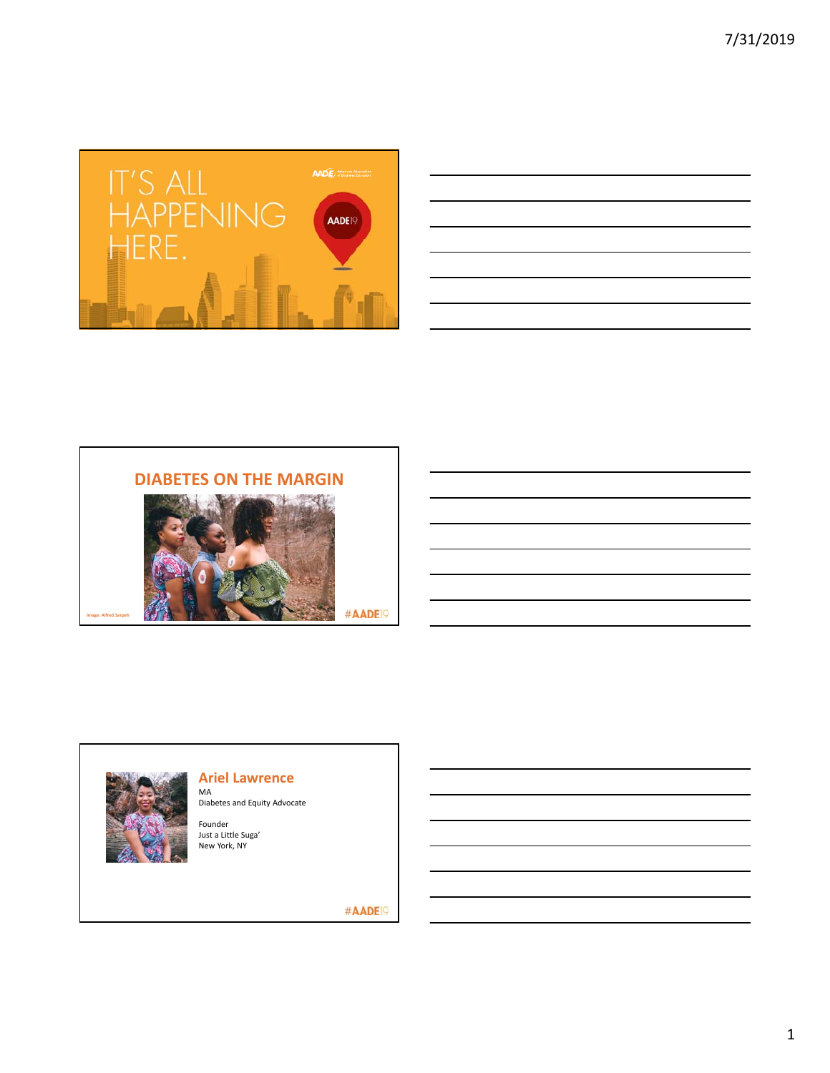

| <u> 1989 - Johann John Stone, markin sanadi amerikan sebagai pengaran sebagai pengaran sebagai pengaran sebagai p</u> |                                                 |  |  |  |
|-----------------------------------------------------------------------------------------------------------------------|-------------------------------------------------|--|--|--|
|                                                                                                                       |                                                 |  |  |  |
| and the control of the control of the control of the control of the control of the control of the control of the      |                                                 |  |  |  |
| <u> 1989 - Johann Stoff, amerikansk politiker (d. 1989)</u>                                                           |                                                 |  |  |  |
| the contract of the contract of the contract of the contract of the contract of the contract of the contract of       |                                                 |  |  |  |
|                                                                                                                       | the contract of the contract of the contract of |  |  |  |
|                                                                                                                       | the contract of the contract of the             |  |  |  |
|                                                                                                                       |                                                 |  |  |  |

# **DIABETES ON THE MARGIN**



#AADE<sup>19</sup>



**Image: Alfred Sarpeh**

# **Ariel Lawrence**

MA Diabetes and Equity Advocate

Founder Just a Little Suga' New York, NY

#AADE<sup>19</sup>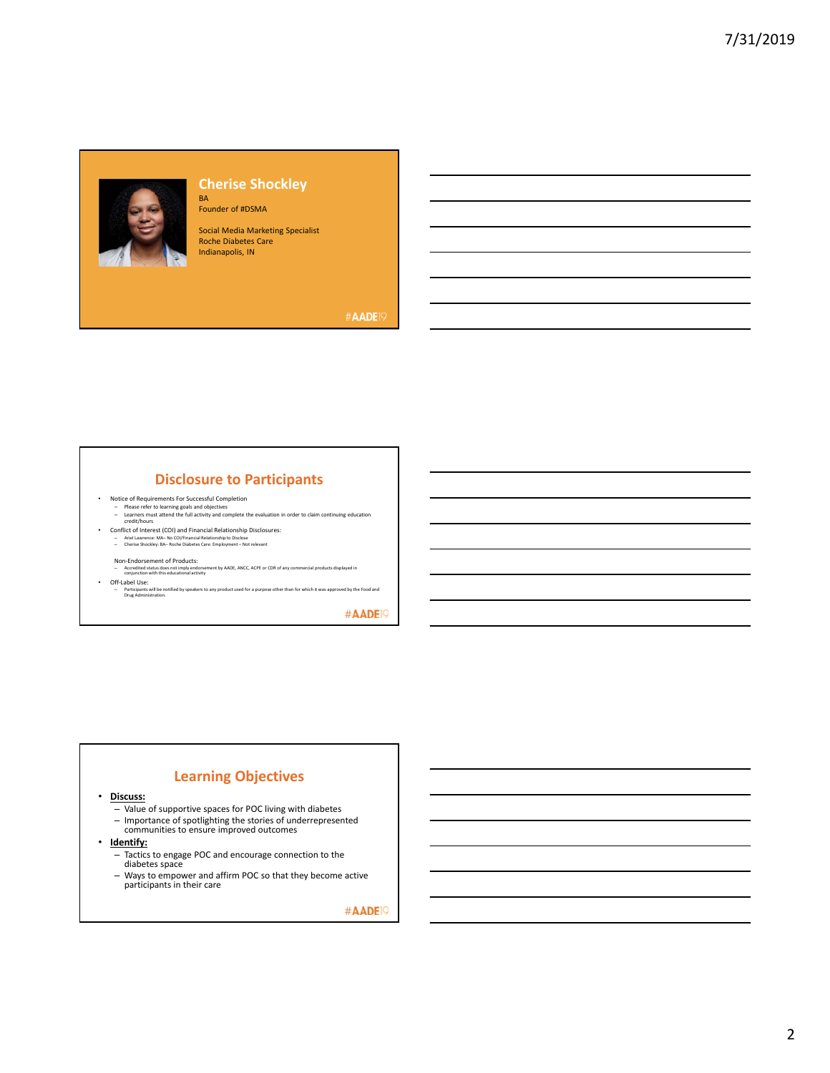

### **Cherise Shockley** BA

Founder of #DSMA

Social Media Marketing Specialist Roche Diabetes Care Indianapolis, IN

#AADE<sup>19</sup>

# **Disclosure to Participants**

- 
- Notice of Requirements For Successful Completion<br>
Please refer to learning goals and objectives<br>
Learners must attend the full activity and complete the evaluation in order to claim continuing education<br>
Creditive
- 
- 

- Non-Endorsement of Products:<br>– Accredited status does not imply endorsement by AADE, ANCC, ACPE or CDR of any commercial products displayed in<br>- Conjunction with this educational activity
- Off-Label Use:<br>– Participants will be notified by speakers to any product used for a purpose other than for which it was approved by the Food and<br>Drug Administration.

#AADE<sup>O</sup>

## **Learning Objectives**

• **Discuss:** 

- Value of supportive spaces for POC living with diabetes
- Importance of spotlighting the stories of underrepresented communities to ensure improved outcomes
- **Identify:** 
	- Tactics to engage POC and encourage connection to the diabetes space
	- Ways to empower and affirm POC so that they become active participants in their care

#AADE<sup>IO</sup>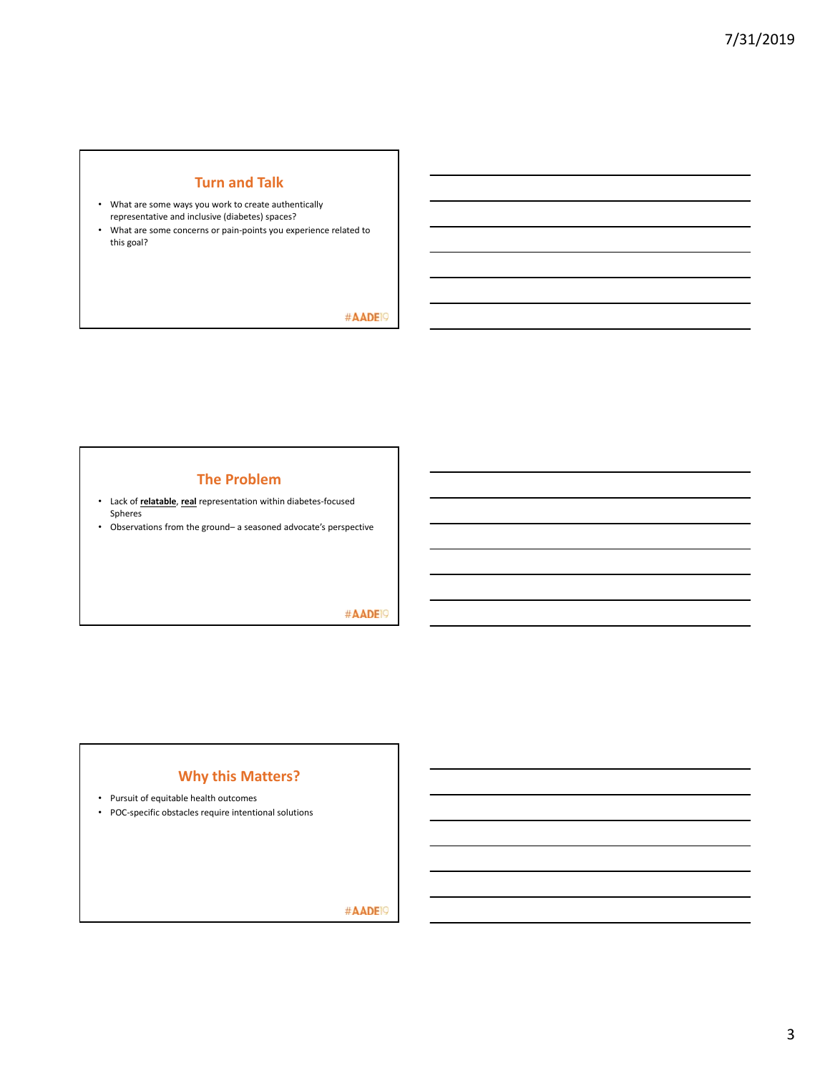## **Turn and Talk**

- What are some ways you work to create authentically representative and inclusive (diabetes) spaces?
- What are some concerns or pain‐points you experience related to this goal?

## #AADE<sup>19</sup>

# **The Problem**

- Lack of **relatable**, **real** representation within diabetes‐focused Spheres
- Observations from the ground– a seasoned advocate's perspective

## #AADE<sup>19</sup>

# **Why this Matters?**

- Pursuit of equitable health outcomes
- POC‐specific obstacles require intentional solutions

#AADE<sup>19</sup>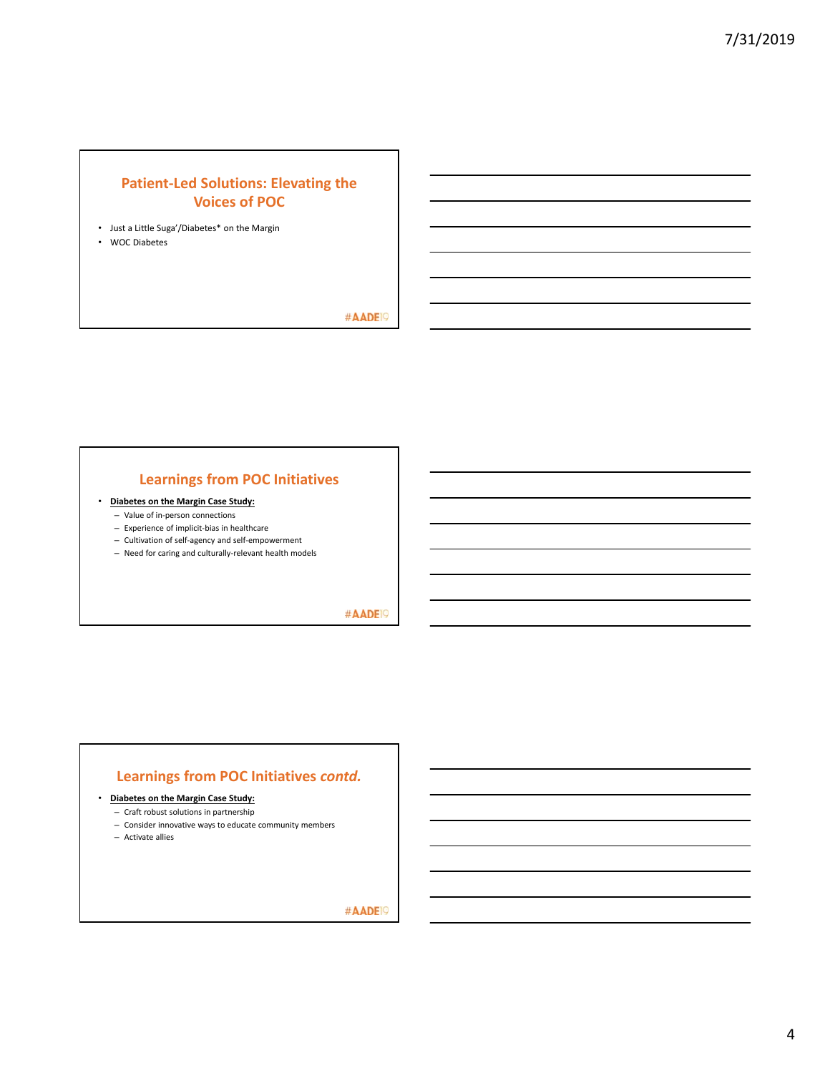# **Patient‐Led Solutions: Elevating the Voices of POC**

- Just a Little Suga'/Diabetes\* on the Margin
- WOC Diabetes

#AADE<sup>19</sup>

# **Learnings from POC Initiatives**

- **Diabetes on the Margin Case Study:** 
	- Value of in‐person connections
	- Experience of implicit‐bias in healthcare
	- Cultivation of self‐agency and self‐empowerment
	- Need for caring and culturally‐relevant health models

#AADE<sup>19</sup>

## **Learnings from POC Initiatives** *contd.*

• **Diabetes on the Margin Case Study:** 

- Craft robust solutions in partnership
- Consider innovative ways to educate community members
- Activate allies

#AADE<sup>19</sup>